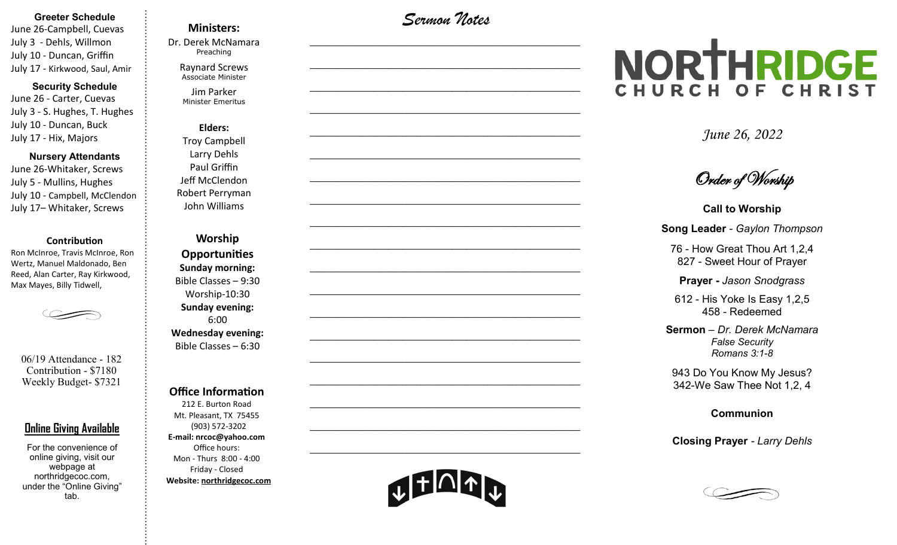#### **Greeter Schedule**

June 26-Campbell, Cuevas July 3 - Dehls, Willmon July 10 - Duncan, Griffin July 17 - Kirkwood, Saul, Amir

### **Security Schedule**

June 26 - Carter, Cuevas July 3 - S. Hughes, T. Hughes July 10 - Duncan, Buck July 17 - Hix, Majors

#### **Nursery Attendants**

June 26-Whitaker, Screws July 5 - Mullins, Hughes July 10 - Campbell, McClendon July 17– Whitaker, Screws

#### **Contribution**

Ron McInroe, Travis McInroe, Ron Wertz, Manuel Maldonado, Ben Reed, Alan Carter, Ray Kirkwood, Max Mayes, Billy Tidwell,

06/19 Attendance - 182 Contribution - \$7180 Weekly Budget- \$7321

## **Online Giving Available**

For the convenience of online giving, visit our webpage at northridgecoc.com, under the "Online Giving" tab.

## **Ministers:**

Dr. Derek McNamara Preaching 

Raynard Screws Associate Minister

Jim Parker Minister Emeritus

**Elders:** Troy Campbell Larry Dehls Paul Griffin Jeff McClendon Robert Perryman John Williams

**Worship Opportunities Sunday morning:**  Bible Classes – 9:30 Worship-10:30 **Sunday evening:**  6:00 **Wednesday evening:** Bible Classes – 6:30

### **Office Information**

212 E. Burton Road Mt. Pleasant, TX 75455 (903) 572-3202 **E-mail: nrcoc@yahoo.com** Office hours: Mon - Thurs 8:00 - 4:00 Friday - Closed **Website: northridgecoc.com**

*Sermon Notes*

 $\mathcal{L}_\text{max}$ 

 $\mathcal{L}_\text{max}$  , and the set of the set of the set of the set of the set of the set of the set of the set of the set of the set of the set of the set of the set of the set of the set of the set of the set of the set of the

 $\mathcal{L}_\text{max}$  , and the set of the set of the set of the set of the set of the set of the set of the set of the set of the set of the set of the set of the set of the set of the set of the set of the set of the set of the

 $\mathcal{L}_\text{max}$  , and the set of the set of the set of the set of the set of the set of the set of the set of the set of the set of the set of the set of the set of the set of the set of the set of the set of the set of the

 $\mathcal{L}_\text{max}$ 

 $\mathcal{L}_\text{max}$ 

 $\mathcal{L}_\text{max}$  , and the set of the set of the set of the set of the set of the set of the set of the set of the set of the set of the set of the set of the set of the set of the set of the set of the set of the set of the

 $\mathcal{L}_\text{max}$  , and the set of the set of the set of the set of the set of the set of the set of the set of the set of the set of the set of the set of the set of the set of the set of the set of the set of the set of the

 $\mathcal{L}_\text{max}$  , and the set of the set of the set of the set of the set of the set of the set of the set of the set of the set of the set of the set of the set of the set of the set of the set of the set of the set of the

 $\mathcal{L}_\text{max}$ 

 $\mathcal{L}_\text{max}$  , and the set of the set of the set of the set of the set of the set of the set of the set of the set of the set of the set of the set of the set of the set of the set of the set of the set of the set of the

 $\mathcal{L}_\text{max}$  , and the set of the set of the set of the set of the set of the set of the set of the set of the set of the set of the set of the set of the set of the set of the set of the set of the set of the set of the

 $\mathcal{L}_\text{max}$  , and the set of the set of the set of the set of the set of the set of the set of the set of the set of the set of the set of the set of the set of the set of the set of the set of the set of the set of the

 $\mathcal{L}_\text{max}$  , and the set of the set of the set of the set of the set of the set of the set of the set of the set of the set of the set of the set of the set of the set of the set of the set of the set of the set of the

 $\mathcal{L}_\text{max}$ 

 $\mathcal{L}_\text{max}$  , and the set of the set of the set of the set of the set of the set of the set of the set of the set of the set of the set of the set of the set of the set of the set of the set of the set of the set of the

 $\mathcal{L}_\text{max}$  , and the set of the set of the set of the set of the set of the set of the set of the set of the set of the set of the set of the set of the set of the set of the set of the set of the set of the set of the

 $\mathcal{L}_\text{max}$  , and the set of the set of the set of the set of the set of the set of the set of the set of the set of the set of the set of the set of the set of the set of the set of the set of the set of the set of the

 $\mathcal{L}_\text{max}$  , and the set of the set of the set of the set of the set of the set of the set of the set of the set of the set of the set of the set of the set of the set of the set of the set of the set of the set of the

# NORTHRIDGE CHURCH OF CHRIST

*June 26, 2022*

Order of Worship

**Call to Worship Song Leader** *- Gaylon Thompson*

76 - How Great Thou Art 1,2,4 827 - Sweet Hour of Prayer

**Prayer -** *Jason Snodgrass*

612 - His Yoke Is Easy 1,2,5 458 - Redeemed

**Sermon** – *Dr. Derek McNamara False Security Romans 3:1-8*

943 Do You Know My Jesus? 342-We Saw Thee Not 1,2, 4

**Communion** 

**Closing Prayer** *- Larry Dehls*